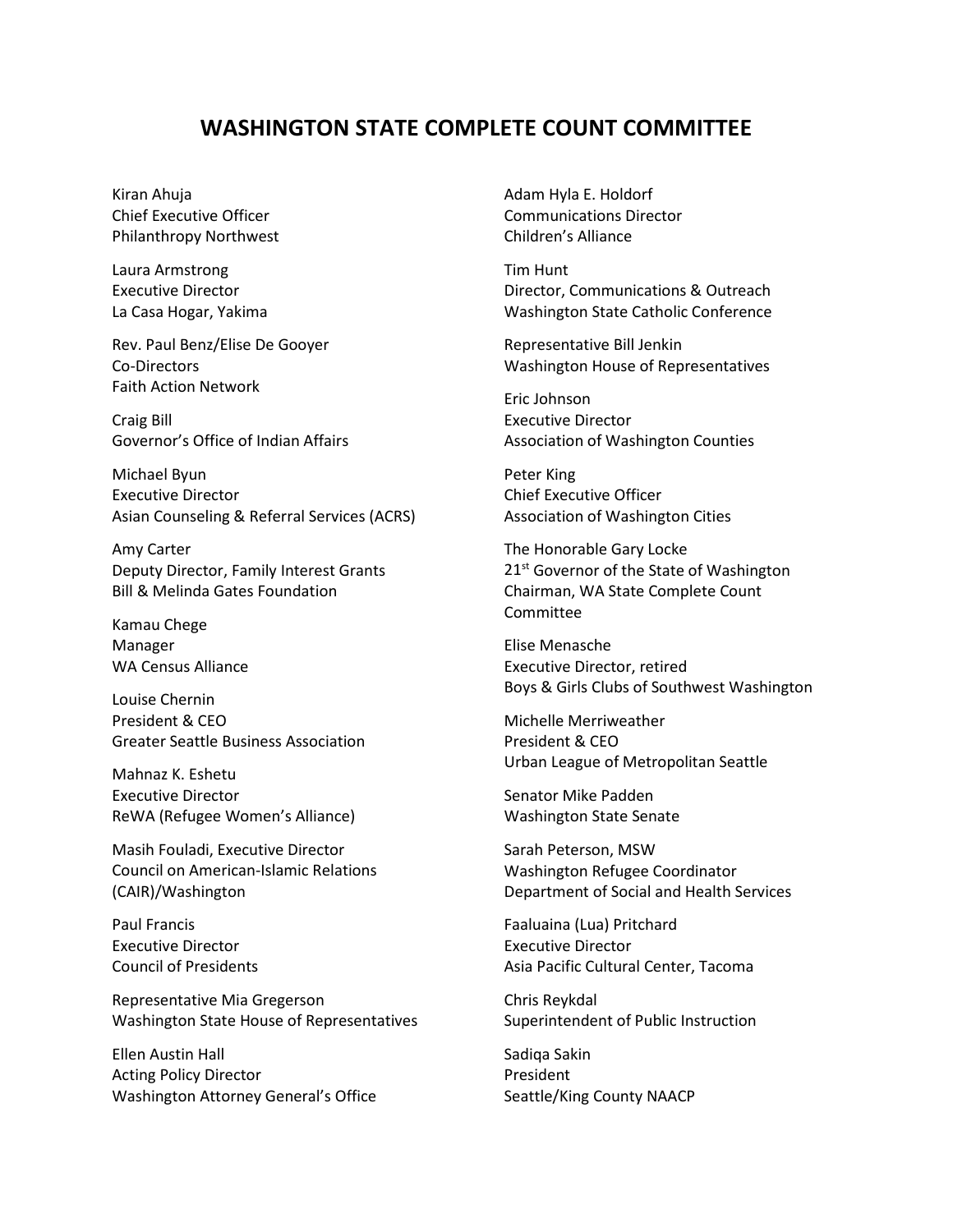## **WASHINGTON STATE COMPLETE COUNT COMMITTEE**

Kiran Ahuja Chief Executive Officer Philanthropy Northwest

Laura Armstrong Executive Director La Casa Hogar, Yakima

Rev. Paul Benz/Elise De Gooyer Co-Directors Faith Action Network

Craig Bill Governor's Office of Indian Affairs

Michael Byun Executive Director Asian Counseling & Referral Services (ACRS)

Amy Carter Deputy Director, Family Interest Grants Bill & Melinda Gates Foundation

Kamau Chege Manager WA Census Alliance

Louise Chernin President & CEO Greater Seattle Business Association

Mahnaz K. Eshetu Executive Director ReWA (Refugee Women's Alliance)

Masih Fouladi, Executive Director Council on American-Islamic Relations (CAIR)/Washington

Paul Francis Executive Director Council of Presidents

Representative Mia Gregerson Washington State House of Representatives

Ellen Austin Hall Acting Policy Director Washington Attorney General's Office Adam Hyla E. Holdorf Communications Director Children's Alliance

Tim Hunt Director, Communications & Outreach Washington State Catholic Conference

Representative Bill Jenkin Washington House of Representatives

Eric Johnson Executive Director Association of Washington Counties

Peter King Chief Executive Officer Association of Washington Cities

The Honorable Gary Locke 21<sup>st</sup> Governor of the State of Washington Chairman, WA State Complete Count Committee

Elise Menasche Executive Director, retired Boys & Girls Clubs of Southwest Washington

Michelle Merriweather President & CEO Urban League of Metropolitan Seattle

Senator Mike Padden Washington State Senate

Sarah Peterson, MSW Washington Refugee Coordinator Department of Social and Health Services

Faaluaina (Lua) Pritchard Executive Director Asia Pacific Cultural Center, Tacoma

Chris Reykdal Superintendent of Public Instruction

Sadiqa Sakin President Seattle/King County NAACP